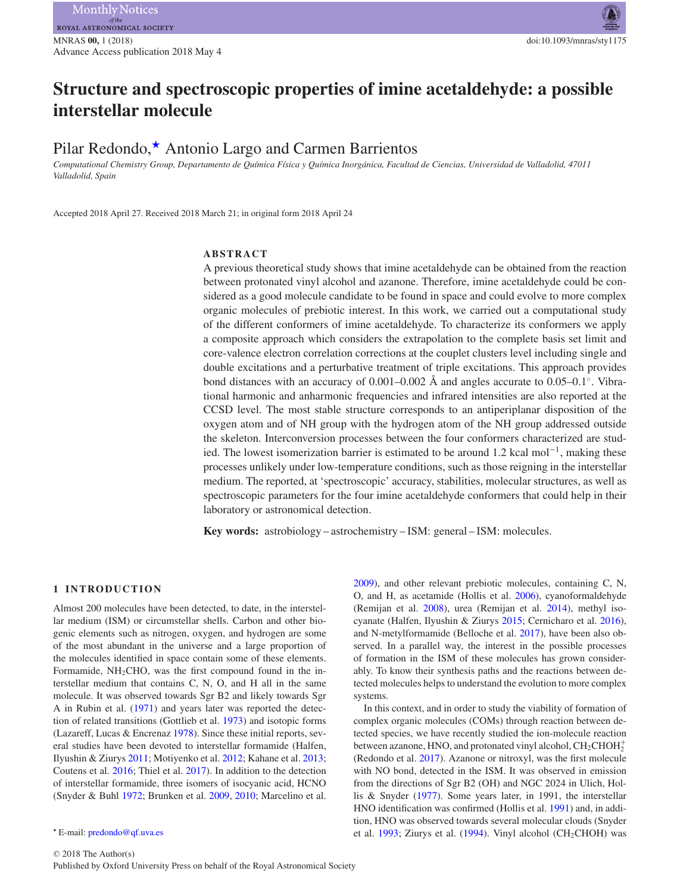Advance Access publication 2018 May 4

# **Structure and spectroscopic properties of imine acetaldehyde: a possible interstellar molecule**

## Pilar Redondo, Antonio Largo and Carmen Barrientos

*Computational Chemistry Group, Departamento de Qu´ımica F´ısica y Qu´ımica Inorganica, Facultad de Ciencias, Universidad de Valladolid, 47011 ´ Valladolid, Spain*

Accepted 2018 April 27. Received 2018 March 21; in original form 2018 April 24

## **ABSTRACT**

A previous theoretical study shows that imine acetaldehyde can be obtained from the reaction between protonated vinyl alcohol and azanone. Therefore, imine acetaldehyde could be considered as a good molecule candidate to be found in space and could evolve to more complex organic molecules of prebiotic interest. In this work, we carried out a computational study of the different conformers of imine acetaldehyde. To characterize its conformers we apply a composite approach which considers the extrapolation to the complete basis set limit and core-valence electron correlation corrections at the couplet clusters level including single and double excitations and a perturbative treatment of triple excitations. This approach provides bond distances with an accuracy of 0.001–0.002 Å and angles accurate to 0.05–0.1◦. Vibrational harmonic and anharmonic frequencies and infrared intensities are also reported at the CCSD level. The most stable structure corresponds to an antiperiplanar disposition of the oxygen atom and of NH group with the hydrogen atom of the NH group addressed outside the skeleton. Interconversion processes between the four conformers characterized are studied. The lowest isomerization barrier is estimated to be around 1.2 kcal mol−1, making these processes unlikely under low-temperature conditions, such as those reigning in the interstellar medium. The reported, at 'spectroscopic' accuracy, stabilities, molecular structures, as well as spectroscopic parameters for the four imine acetaldehyde conformers that could help in their laboratory or astronomical detection.

**Key words:** astrobiology – astrochemistry – ISM: general – ISM: molecules.

## **1 INTRODUCTION**

Almost 200 molecules have been detected, to date, in the interstellar medium (ISM) or circumstellar shells. Carbon and other biogenic elements such as nitrogen, oxygen, and hydrogen are some of the most abundant in the universe and a large proportion of the molecules identified in space contain some of these elements. Formamide,  $NH<sub>2</sub>CHO$ , was the first compound found in the interstellar medium that contains C, N, O, and H all in the same molecule. It was observed towards Sgr B2 and likely towards Sgr A in Rubin et al. [\(1971\)](#page-6-0) and years later was reported the detection of related transitions (Gottlieb et al. [1973\)](#page-5-0) and isotopic forms (Lazareff, Lucas & Encrenaz [1978\)](#page-6-1). Since these initial reports, several studies have been devoted to interstellar formamide (Halfen, Ilyushin & Ziurys [2011;](#page-5-1) Motiyenko et al. [2012;](#page-6-2) Kahane et al. [2013;](#page-6-3) Coutens et al. [2016;](#page-5-2) Thiel et al. [2017\)](#page-6-4). In addition to the detection of interstellar formamide, three isomers of isocyanic acid, HCNO (Snyder & Buhl [1972;](#page-6-5) Brunken et al. [2009,](#page-5-3) [2010;](#page-5-4) Marcelino et al.

[2009\)](#page-6-6), and other relevant prebiotic molecules, containing C, N, O, and H, as acetamide (Hollis et al. [2006\)](#page-5-5), cyanoformaldehyde (Remijan et al. [2008\)](#page-6-7), urea (Remijan et al. [2014\)](#page-6-8), methyl isocyanate (Halfen, Ilyushin & Ziurys [2015;](#page-5-6) Cernicharo et al. [2016\)](#page-5-7), and N-metylformamide (Belloche et al. [2017\)](#page-5-8), have been also observed. In a parallel way, the interest in the possible processes of formation in the ISM of these molecules has grown considerably. To know their synthesis paths and the reactions between detected molecules helps to understand the evolution to more complex systems.

In this context, and in order to study the viability of formation of complex organic molecules (COMs) through reaction between detected species, we have recently studied the ion-molecule reaction between azanone, HNO, and protonated vinyl alcohol,  $\text{CH}_2\text{CHOH}_2^+$ (Redondo et al. [2017\)](#page-6-9). Azanone or nitroxyl, was the first molecule with NO bond, detected in the ISM. It was observed in emission from the directions of Sgr B2 (OH) and NGC 2024 in Ulich, Hollis & Snyder [\(1977\)](#page-6-10). Some years later, in 1991, the interstellar HNO identification was confirmed (Hollis et al. [1991\)](#page-5-9) and, in addition, HNO was observed towards several molecular clouds (Snyder et al. [1993;](#page-6-11) Ziurys et al. [\(1994\)](#page-6-12). Vinyl alcohol ( $CH<sub>2</sub>CHOH$ ) was

<span id="page-0-0"></span>*<sup>-</sup>* E-mail: [predondo@qf.uva.es](mailto:predondo@qf.uva.es)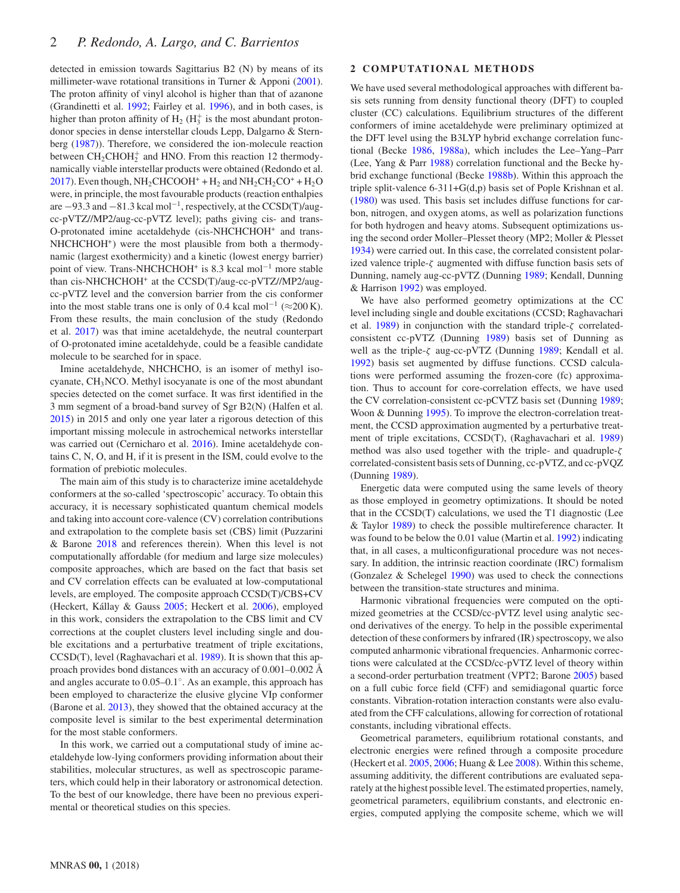detected in emission towards Sagittarius B2 (N) by means of its millimeter-wave rotational transitions in Turner & Apponi [\(2001\)](#page-6-13). The proton affinity of vinyl alcohol is higher than that of azanone (Grandinetti et al. [1992;](#page-5-10) Fairley et al. [1996\)](#page-5-11), and in both cases, is higher than proton affinity of  $H_2$  ( $H_3^+$  is the most abundant protondonor species in dense interstellar clouds Lepp, Dalgarno & Sternberg [\(1987\)](#page-6-14)). Therefore, we considered the ion-molecule reaction between  $CH_2CHOH<sub>2</sub><sup>+</sup>$  and HNO. From this reaction 12 thermodynamically viable interstellar products were obtained (Redondo et al. [2017\)](#page-6-9). Even though,  $NH<sub>2</sub>CHCOOH<sup>+</sup> + H<sub>2</sub>$  and  $NH<sub>2</sub>CH<sub>2</sub>CO<sup>+</sup> + H<sub>2</sub>O$ were, in principle, the most favourable products (reaction enthalpies are  $-93.3$  and  $-81.3$  kcal mol<sup>-1</sup>, respectively, at the CCSD(T)/augcc-pVTZ//MP2/aug-cc-pVTZ level); paths giving cis- and trans-O-protonated imine acetaldehyde (cis-NHCHCHOH<sup>+</sup> and trans-NHCHCHOH<sup>+</sup>) were the most plausible from both a thermodynamic (largest exothermicity) and a kinetic (lowest energy barrier) point of view. Trans-NHCHCHOH<sup>+</sup> is 8.3 kcal mol<sup>-1</sup> more stable than cis-NHCHCHOH<sup>+</sup> at the CCSD(T)/aug-cc-pVTZ//MP2/augcc-pVTZ level and the conversion barrier from the cis conformer into the most stable trans one is only of 0.4 kcal mol<sup>-1</sup> (≈200 K). From these results, the main conclusion of the study (Redondo et al. [2017\)](#page-6-9) was that imine acetaldehyde, the neutral counterpart of O-protonated imine acetaldehyde, could be a feasible candidate molecule to be searched for in space.

Imine acetaldehyde, NHCHCHO, is an isomer of methyl isocyanate, CH3NCO. Methyl isocyanate is one of the most abundant species detected on the comet surface. It was first identified in the 3 mm segment of a broad-band survey of Sgr B2(N) (Halfen et al. [2015\)](#page-5-6) in 2015 and only one year later a rigorous detection of this important missing molecule in astrochemical networks interstellar was carried out (Cernicharo et al. [2016\)](#page-5-7). Imine acetaldehyde contains C, N, O, and H, if it is present in the ISM, could evolve to the formation of prebiotic molecules.

The main aim of this study is to characterize imine acetaldehyde conformers at the so-called 'spectroscopic' accuracy. To obtain this accuracy, it is necessary sophisticated quantum chemical models and taking into account core-valence (CV) correlation contributions and extrapolation to the complete basis set (CBS) limit (Puzzarini & Barone [2018](#page-6-15) and references therein). When this level is not computationally affordable (for medium and large size molecules) composite approaches, which are based on the fact that basis set and CV correlation effects can be evaluated at low-computational levels, are employed. The composite approach CCSD(T)/CBS+CV (Heckert, Kállay & Gauss [2005;](#page-5-12) Heckert et al. [2006\)](#page-5-13), employed in this work, considers the extrapolation to the CBS limit and CV corrections at the couplet clusters level including single and double excitations and a perturbative treatment of triple excitations, CCSD(T), level (Raghavachari et al. [1989\)](#page-6-16). It is shown that this approach provides bond distances with an accuracy of 0.001–0.002 Å and angles accurate to 0.05–0.1◦. As an example, this approach has been employed to characterize the elusive glycine VIp conformer (Barone et al. [2013\)](#page-5-14), they showed that the obtained accuracy at the composite level is similar to the best experimental determination for the most stable conformers.

In this work, we carried out a computational study of imine acetaldehyde low-lying conformers providing information about their stabilities, molecular structures, as well as spectroscopic parameters, which could help in their laboratory or astronomical detection. To the best of our knowledge, there have been no previous experimental or theoretical studies on this species.

## **2 COMPUTATIONAL METHODS**

We have used several methodological approaches with different basis sets running from density functional theory (DFT) to coupled cluster (CC) calculations. Equilibrium structures of the different conformers of imine acetaldehyde were preliminary optimized at the DFT level using the B3LYP hybrid exchange correlation functional (Becke [1986,](#page-5-15) [1988a\)](#page-5-16), which includes the Lee–Yang–Parr (Lee, Yang & Parr [1988\)](#page-6-17) correlation functional and the Becke hybrid exchange functional (Becke [1988b\)](#page-5-17). Within this approach the triple split-valence 6-311+G(d,p) basis set of Pople Krishnan et al. [\(1980\)](#page-6-18) was used. This basis set includes diffuse functions for carbon, nitrogen, and oxygen atoms, as well as polarization functions for both hydrogen and heavy atoms. Subsequent optimizations using the second order Moller–Plesset theory (MP2; Moller & Plesset [1934\)](#page-6-19) were carried out. In this case, the correlated consistent polarized valence triple-*ζ* augmented with diffuse function basis sets of Dunning, namely aug-cc-pVTZ (Dunning [1989;](#page-5-18) Kendall, Dunning & Harrison [1992\)](#page-6-20) was employed.

We have also performed geometry optimizations at the CC level including single and double excitations (CCSD; Raghavachari et al. [1989\)](#page-6-16) in conjunction with the standard triple-*ζ* correlatedconsistent cc-pVTZ (Dunning [1989\)](#page-5-18) basis set of Dunning as well as the triple-*ζ* aug-cc-pVTZ (Dunning [1989;](#page-5-18) Kendall et al. [1992\)](#page-6-20) basis set augmented by diffuse functions. CCSD calculations were performed assuming the frozen-core (fc) approximation. Thus to account for core-correlation effects, we have used the CV correlation-consistent cc-pCVTZ basis set (Dunning [1989;](#page-5-18) Woon & Dunning [1995\)](#page-6-21). To improve the electron-correlation treatment, the CCSD approximation augmented by a perturbative treatment of triple excitations, CCSD(T), (Raghavachari et al. [1989\)](#page-6-16) method was also used together with the triple- and quadruple-*ζ* correlated-consistent basis sets of Dunning, cc-pVTZ, and cc-pVQZ (Dunning [1989\)](#page-5-18).

Energetic data were computed using the same levels of theory as those employed in geometry optimizations. It should be noted that in the CCSD(T) calculations, we used the T1 diagnostic (Lee & Taylor [1989\)](#page-6-22) to check the possible multireference character. It was found to be below the 0.01 value (Martin et al. [1992\)](#page-6-23) indicating that, in all cases, a multiconfigurational procedure was not necessary. In addition, the intrinsic reaction coordinate (IRC) formalism (Gonzalez & Schelegel [1990\)](#page-5-19) was used to check the connections between the transition-state structures and minima.

Harmonic vibrational frequencies were computed on the optimized geometries at the CCSD/cc-pVTZ level using analytic second derivatives of the energy. To help in the possible experimental detection of these conformers by infrared (IR) spectroscopy, we also computed anharmonic vibrational frequencies. Anharmonic corrections were calculated at the CCSD/cc-pVTZ level of theory within a second-order perturbation treatment (VPT2; Barone [2005\)](#page-5-20) based on a full cubic force field (CFF) and semidiagonal quartic force constants. Vibration-rotation interaction constants were also evaluated from the CFF calculations, allowing for correction of rotational constants, including vibrational effects.

Geometrical parameters, equilibrium rotational constants, and electronic energies were refined through a composite procedure (Heckert et al. [2005,](#page-5-12) [2006;](#page-5-13) Huang & Lee [2008\)](#page-5-21). Within this scheme, assuming additivity, the different contributions are evaluated separately at the highest possible level. The estimated properties, namely, geometrical parameters, equilibrium constants, and electronic energies, computed applying the composite scheme, which we will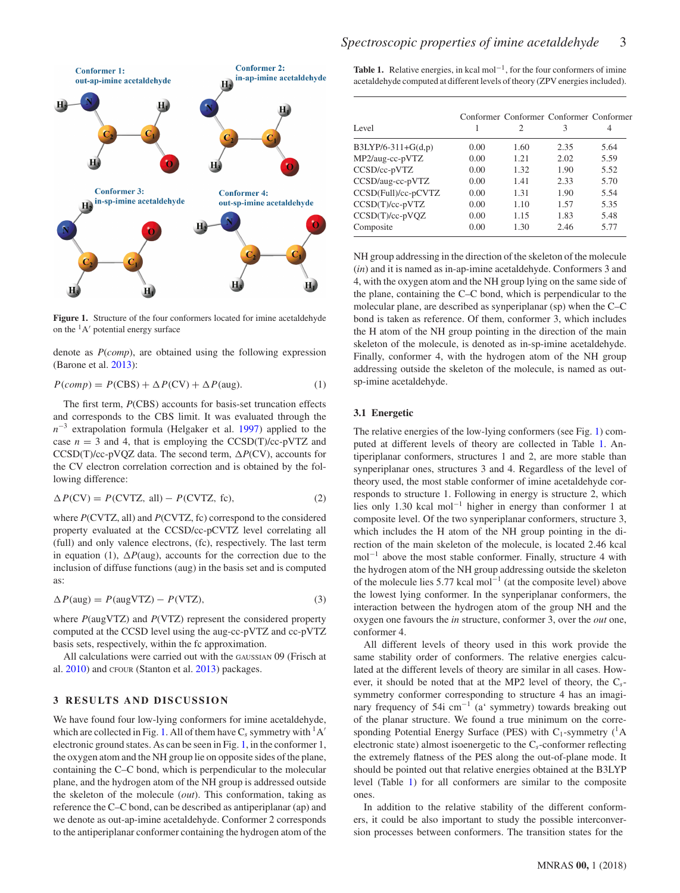<span id="page-2-0"></span>

Figure 1. Structure of the four conformers located for imine acetaldehyde on the  ${}^{1}A'$  potential energy surface

denote as *P*(*comp*), are obtained using the following expression (Barone et al. [2013\)](#page-5-22):

$$
P(comp) = P(CBS) + \Delta P(CV) + \Delta P(aug).
$$
 (1)

The first term, *P*(CBS) accounts for basis-set truncation effects and corresponds to the CBS limit. It was evaluated through the *n*<sup>−3</sup> extrapolation formula (Helgaker et al. [1997\)](#page-5-23) applied to the case  $n = 3$  and 4, that is employing the  $CCSD(T)/cc-pVTZ$  and  $CCSD(T)/cc-pVQZ$  data. The second term,  $\Delta P(CV)$ , accounts for the CV electron correlation correction and is obtained by the following difference:

$$
\Delta P(CV) = P(CVTZ, \text{ all}) - P(CVTZ, \text{ fc}),\tag{2}
$$

where *P*(CVTZ, all) and *P*(CVTZ, fc) correspond to the considered property evaluated at the CCSD/cc-pCVTZ level correlating all (full) and only valence electrons, (fc), respectively. The last term in equation (1),  $\Delta P(\text{aug})$ , accounts for the correction due to the inclusion of diffuse functions (aug) in the basis set and is computed as:

$$
\Delta P(\text{aug}) = P(\text{augVTZ}) - P(\text{VTZ}),\tag{3}
$$

where *P*(augVTZ) and *P*(VTZ) represent the considered property computed at the CCSD level using the aug-cc-pVTZ and cc-pVTZ basis sets, respectively, within the fc approximation.

All calculations were carried out with the GAUSSIAN 09 (Frisch at al. [2010\)](#page-5-24) and CFOUR (Stanton et al. [2013\)](#page-6-24) packages.

## **3 RESULTS AND DISCUSSION**

We have found four low-lying conformers for imine acetaldehyde, which are collected in Fig. [1.](#page-2-0) All of them have  $C_s$  symmetry with  ${}^1A'$ electronic ground states. As can be seen in Fig. [1,](#page-2-0) in the conformer 1, the oxygen atom and the NH group lie on opposite sides of the plane, containing the C–C bond, which is perpendicular to the molecular plane, and the hydrogen atom of the NH group is addressed outside the skeleton of the molecule (*out*). This conformation, taking as reference the C–C bond, can be described as antiperiplanar (ap) and we denote as out-ap-imine acetaldehyde. Conformer 2 corresponds to the antiperiplanar conformer containing the hydrogen atom of the <span id="page-2-1"></span>**Table 1.** Relative energies, in kcal mol<sup> $-1$ </sup>, for the four conformers of imine acetaldehyde computed at different levels of theory (ZPV energies included).

|                      |      |                             |      | Conformer Conformer Conformer Conformer |
|----------------------|------|-----------------------------|------|-----------------------------------------|
| Level                | 1    | $\mathcal{D}_{\mathcal{A}}$ | 3    | 4                                       |
| $B3LYP/6-311+G(d,p)$ | 0.00 | 1.60                        | 2.35 | 5.64                                    |
| MP2/aug-cc-pVTZ      | 0.00 | 1.21                        | 2.02 | 5.59                                    |
| CCSD/cc-pVTZ         | 0.00 | 1.32                        | 1.90 | 5.52                                    |
| CCSD/aug-cc-pVTZ     | 0.00 | 1.41                        | 2.33 | 5.70                                    |
| CCSD(Full)/cc-pCVTZ  | 0.00 | 1.31                        | 1.90 | 5.54                                    |
| $CCSD(T)/cc-pVTZ$    | 0.00 | 1.10                        | 1.57 | 5.35                                    |
| $CCSD(T)/cc-pVQZ$    | 0.00 | 1.15                        | 1.83 | 5.48                                    |
| Composite            | 0.00 | 1.30                        | 2.46 | 5.77                                    |

NH group addressing in the direction of the skeleton of the molecule (*in*) and it is named as in-ap-imine acetaldehyde. Conformers 3 and 4, with the oxygen atom and the NH group lying on the same side of the plane, containing the C–C bond, which is perpendicular to the molecular plane, are described as synperiplanar (sp) when the C–C bond is taken as reference. Of them, conformer 3, which includes the H atom of the NH group pointing in the direction of the main skeleton of the molecule, is denoted as in-sp-imine acetaldehyde. Finally, conformer 4, with the hydrogen atom of the NH group addressing outside the skeleton of the molecule, is named as outsp-imine acetaldehyde.

#### **3.1 Energetic**

The relative energies of the low-lying conformers (see Fig. [1\)](#page-2-0) computed at different levels of theory are collected in Table [1.](#page-2-1) Antiperiplanar conformers, structures 1 and 2, are more stable than synperiplanar ones, structures 3 and 4. Regardless of the level of theory used, the most stable conformer of imine acetaldehyde corresponds to structure 1. Following in energy is structure 2, which lies only 1.30 kcal mol−<sup>1</sup> higher in energy than conformer 1 at composite level. Of the two synperiplanar conformers, structure 3, which includes the H atom of the NH group pointing in the direction of the main skeleton of the molecule, is located 2.46 kcal mol−<sup>1</sup> above the most stable conformer. Finally, structure 4 with the hydrogen atom of the NH group addressing outside the skeleton of the molecule lies 5.77 kcal mol−<sup>1</sup> (at the composite level) above the lowest lying conformer. In the synperiplanar conformers, the interaction between the hydrogen atom of the group NH and the oxygen one favours the *in* structure, conformer 3, over the *out* one, conformer 4.

All different levels of theory used in this work provide the same stability order of conformers. The relative energies calculated at the different levels of theory are similar in all cases. However, it should be noted that at the MP2 level of theory, the C*s*symmetry conformer corresponding to structure 4 has an imaginary frequency of 54i cm<sup>-1</sup> (a' symmetry) towards breaking out of the planar structure. We found a true minimum on the corresponding Potential Energy Surface (PES) with  $C_1$ -symmetry (<sup>1</sup>A electronic state) almost isoenergetic to the C*s*-conformer reflecting the extremely flatness of the PES along the out-of-plane mode. It should be pointed out that relative energies obtained at the B3LYP level (Table [1\)](#page-2-1) for all conformers are similar to the composite ones.

In addition to the relative stability of the different conformers, it could be also important to study the possible interconversion processes between conformers. The transition states for the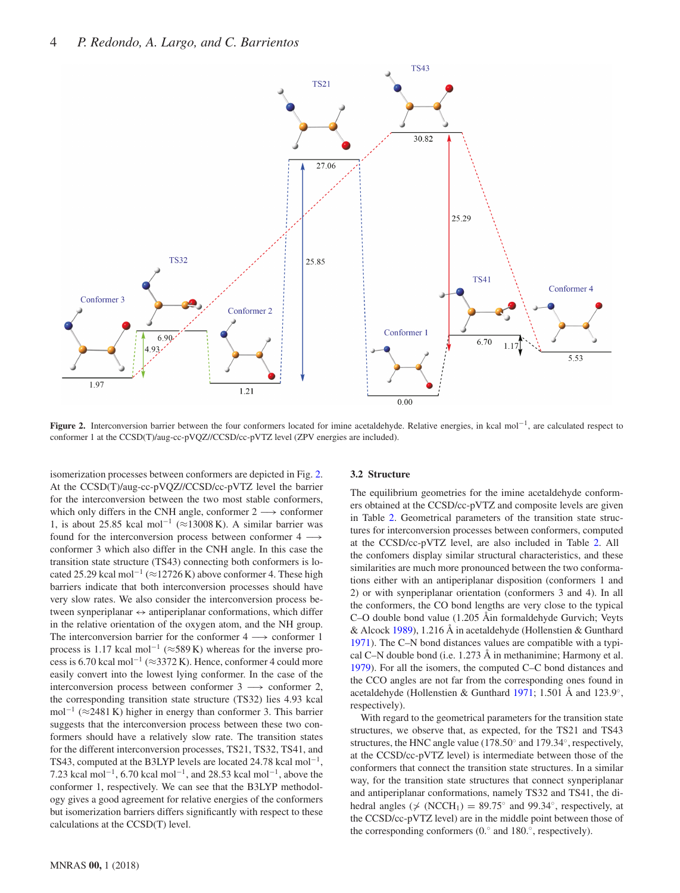<span id="page-3-0"></span>

**Figure 2.** Interconversion barrier between the four conformers located for imine acetaldehyde. Relative energies, in kcal mol<sup>−1</sup>, are calculated respect to conformer 1 at the CCSD(T)/aug-cc-pVQZ//CCSD/cc-pVTZ level (ZPV energies are included).

isomerization processes between conformers are depicted in Fig. [2.](#page-3-0) At the CCSD(T)/aug-cc-pVQZ//CCSD/cc-pVTZ level the barrier for the interconversion between the two most stable conformers, which only differs in the CNH angle, conformer  $2 \rightarrow$  conformer 1, is about 25.85 kcal mol−<sup>1</sup> (≈13008 K). A similar barrier was found for the interconversion process between conformer  $4 \rightarrow$ conformer 3 which also differ in the CNH angle. In this case the transition state structure (TS43) connecting both conformers is located 25.29 kcal mol<sup>-1</sup> (≈12726 K) above conformer 4. These high barriers indicate that both interconversion processes should have very slow rates. We also consider the interconversion process between synperiplanar  $\leftrightarrow$  antiperiplanar conformations, which differ in the relative orientation of the oxygen atom, and the NH group. The interconversion barrier for the conformer  $4 \rightarrow$  conformer 1 process is 1.17 kcal mol<sup>-1</sup> (≈589 K) whereas for the inverse process is 6.70 kcal mol−<sup>1</sup> (≈3372 K). Hence, conformer 4 could more easily convert into the lowest lying conformer. In the case of the interconversion process between conformer  $3 \rightarrow$  conformer 2, the corresponding transition state structure (TS32) lies 4.93 kcal mol<sup>-1</sup> (≈2481 K) higher in energy than conformer 3. This barrier suggests that the interconversion process between these two conformers should have a relatively slow rate. The transition states for the different interconversion processes, TS21, TS32, TS41, and TS43, computed at the B3LYP levels are located 24.78 kcal mol−1, 7.23 kcal mol<sup>-1</sup>, 6.70 kcal mol<sup>-1</sup>, and 28.53 kcal mol<sup>-1</sup>, above the conformer 1, respectively. We can see that the B3LYP methodology gives a good agreement for relative energies of the conformers but isomerization barriers differs significantly with respect to these calculations at the CCSD(T) level.

#### **3.2 Structure**

The equilibrium geometries for the imine acetaldehyde conformers obtained at the CCSD/cc-pVTZ and composite levels are given in Table [2.](#page-4-0) Geometrical parameters of the transition state structures for interconversion processes between conformers, computed at the CCSD/cc-pVTZ level, are also included in Table [2.](#page-4-0) All the confomers display similar structural characteristics, and these similarities are much more pronounced between the two conformations either with an antiperiplanar disposition (conformers 1 and 2) or with synperiplanar orientation (conformers 3 and 4). In all the conformers, the CO bond lengths are very close to the typical C–O double bond value (1.205 Åin formaldehyde Gurvich; Veyts & Alcock [1989\)](#page-5-25), 1.216 Å in acetaldehyde (Hollenstien & Gunthard [1971\)](#page-5-26). The C–N bond distances values are compatible with a typical C–N double bond (i.e. 1.273 Å in methanimine; Harmony et al. [1979\)](#page-5-27). For all the isomers, the computed C–C bond distances and the CCO angles are not far from the corresponding ones found in acetaldehyde (Hollenstien & Gunthard [1971;](#page-5-26) 1.501 Å and 123.9<sup>°</sup>, respectively).

With regard to the geometrical parameters for the transition state structures, we observe that, as expected, for the TS21 and TS43 structures, the HNC angle value (178.50◦ and 179.34◦, respectively, at the CCSD/cc-pVTZ level) is intermediate between those of the conformers that connect the transition state structures. In a similar way, for the transition state structures that connect synperiplanar and antiperiplanar conformations, namely TS32 and TS41, the dihedral angles ( $\frac{\cancel{}}{\cancel{}}$  (NCCH<sub>1</sub>) = 89.75° and 99.34°, respectively, at the CCSD/cc-pVTZ level) are in the middle point between those of the corresponding conformers (0.◦ and 180.◦, respectively).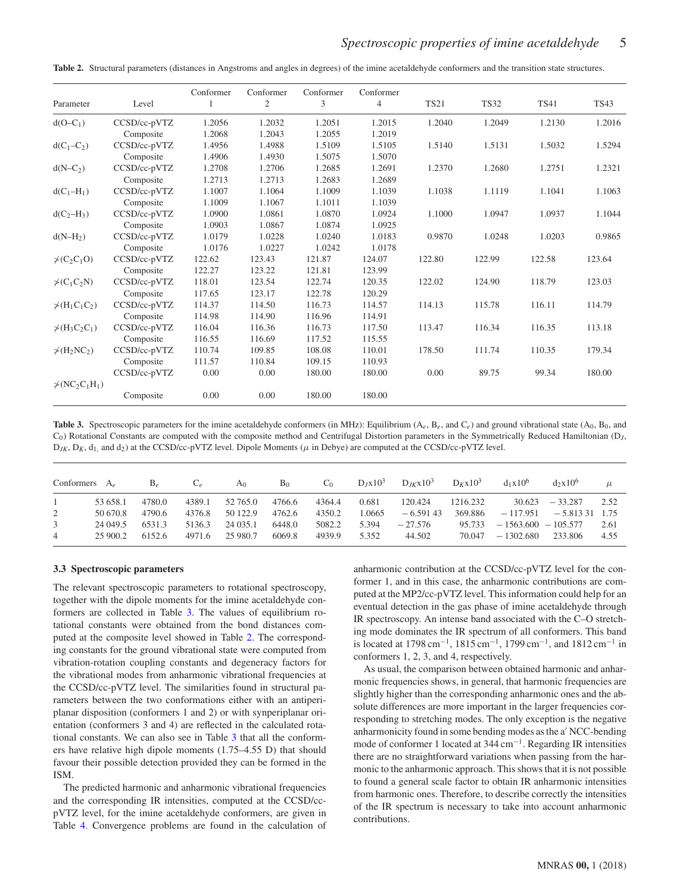<span id="page-4-0"></span>**Table 2.** Structural parameters (distances in Angstroms and angles in degrees) of the imine acetaldehyde conformers and the transition state structures.

| Parameter                                                | Level        | Conformer<br>1 | Conformer<br>2 | Conformer<br>3 | Conformer<br>$\overline{4}$ | <b>TS21</b> | <b>TS32</b> | <b>TS41</b> | <b>TS43</b> |
|----------------------------------------------------------|--------------|----------------|----------------|----------------|-----------------------------|-------------|-------------|-------------|-------------|
|                                                          |              |                |                |                |                             |             |             |             |             |
| $d(O-C_1)$                                               | CCSD/cc-pVTZ | 1.2056         | 1.2032         | 1.2051         | 1.2015                      | 1.2040      | 1.2049      | 1.2130      | 1.2016      |
|                                                          | Composite    | 1.2068         | 1.2043         | 1.2055         | 1.2019                      |             |             |             |             |
| $d(C_1-C_2)$                                             | CCSD/cc-pVTZ | 1.4956         | 1.4988         | 1.5109         | 1.5105                      | 1.5140      | 1.5131      | 1.5032      | 1.5294      |
|                                                          | Composite    | 1.4906         | 1.4930         | 1.5075         | 1.5070                      |             |             |             |             |
| $d(N-C_2)$                                               | CCSD/cc-pVTZ | 1.2708         | 1.2706         | 1.2685         | 1.2691                      | 1.2370      | 1.2680      | 1.2751      | 1.2321      |
|                                                          | Composite    | 1.2713         | 1.2713         | 1.2683         | 1.2689                      |             |             |             |             |
| $d(C_1 - H_1)$                                           | CCSD/cc-pVTZ | 1.1007         | 1.1064         | 1.1009         | 1.1039                      | 1.1038      | 1.1119      | 1.1041      | 1.1063      |
|                                                          | Composite    | 1.1009         | 1.1067         | 1.1011         | 1.1039                      |             |             |             |             |
| $d(C_2-H_3)$                                             | CCSD/cc-pVTZ | 1.0900         | 1.0861         | 1.0870         | 1.0924                      | 1.1000      | 1.0947      | 1.0937      | 1.1044      |
|                                                          | Composite    | 1.0903         | 1.0867         | 1.0874         | 1.0925                      |             |             |             |             |
| $d(N-H2)$                                                | CCSD/cc-pVTZ | 1.0179         | 1.0228         | 1.0240         | 1.0183                      | 0.9870      | 1.0248      | 1.0203      | 0.9865      |
|                                                          | Composite    | 1.0176         | 1.0227         | 1.0242         | 1.0178                      |             |             |             |             |
| $\angle$ (C <sub>2</sub> C <sub>1</sub> O)               | CCSD/cc-pVTZ | 122.62         | 123.43         | 121.87         | 124.07                      | 122.80      | 122.99      | 122.58      | 123.64      |
|                                                          | Composite    | 122.27         | 123.22         | 121.81         | 123.99                      |             |             |             |             |
| $\angle$ (C <sub>1</sub> C <sub>2</sub> N)               | CCSD/cc-pVTZ | 118.01         | 123.54         | 122.74         | 120.35                      | 122.02      | 124.90      | 118.79      | 123.03      |
|                                                          | Composite    | 117.65         | 123.17         | 122.78         | 120.29                      |             |             |             |             |
| $\angle$ (H <sub>1</sub> C <sub>1</sub> C <sub>2</sub> ) | CCSD/cc-pVTZ | 114.37         | 114.50         | 116.73         | 114.57                      | 114.13      | 115.78      | 116.11      | 114.79      |
|                                                          | Composite    | 114.98         | 114.90         | 116.96         | 114.91                      |             |             |             |             |
| $\angle$ (H <sub>3</sub> C <sub>2</sub> C <sub>1</sub> ) | CCSD/cc-pVTZ | 116.04         | 116.36         | 116.73         | 117.50                      | 113.47      | 116.34      | 116.35      | 113.18      |
|                                                          | Composite    | 116.55         | 116.69         | 117.52         | 115.55                      |             |             |             |             |
| $\angle$ (H <sub>2</sub> NC <sub>2</sub> )               | CCSD/cc-pVTZ | 110.74         | 109.85         | 108.08         | 110.01                      | 178.50      | 111.74      | 110.35      | 179.34      |
|                                                          | Composite    | 111.57         | 110.84         | 109.15         | 110.93                      |             |             |             |             |
|                                                          | CCSD/cc-pVTZ | 0.00           | 0.00           | 180.00         | 180.00                      | 0.00        | 89.75       | 99.34       | 180.00      |
| $\frac{\cancel{}}{\cancel{}}(NC_2C_1H_1)$                |              |                |                |                |                             |             |             |             |             |
|                                                          | Composite    | 0.00           | 0.00           | 180.00         | 180.00                      |             |             |             |             |

<span id="page-4-1"></span>**Table 3.** Spectroscopic parameters for the imine acetaldehyde conformers (in MHz): Equilibrium (A*e*, B*e*, and C*e*) and ground vibrational state (A0, B0, and C0) Rotational Constants are computed with the composite method and Centrifugal Distortion parameters in the Symmetrically Reduced Hamiltonian (D*J*,  $D_{JK}$ ,  $D_K$ ,  $d_L$  and  $d_2$ ) at the CCSD/cc-pVTZ level. Dipole Moments ( $\mu$  in Debye) are computed at the CCSD/cc-pVTZ level.

|                | Conformers $A_e$ | B <sub>e</sub> |        | A <sub>0</sub> | B <sub>0</sub> | C <sub>0</sub> | $D_I x 10^3$ | $D_{IK}$ $\times 10^3$ | $D_K$ x10 <sup>3</sup> | $d_1x10^6$            | $d_2x10^6$      |      |
|----------------|------------------|----------------|--------|----------------|----------------|----------------|--------------|------------------------|------------------------|-----------------------|-----------------|------|
|                | 53 658.1         | 4780.0         | 4389.1 | 52 765.0       | 4766.6         | 4364.4         | 0.681        | 120.424                | 1216.232               | 30.623                | $-33.287$       | 2.52 |
| 2              | 50 670.8         | 4790.6         | 4376.8 | 50 122.9       | 4762.6         | 4350.2         | .0665        | $-6.59143$             | 369.886                | $-117.951$            | $-5.81331$ 1.75 |      |
| 3              | 24 049.5         | 6531.3         | 5136.3 | 24 0 35.1      | 6448.0         | 5082.2         | 5.394        | $-27.576$              | 95.733                 | $-1563.600 - 105.577$ |                 | 2.61 |
| $\overline{4}$ | 25 900.2         | 6152.6         | 4971.6 | 25 980.7       | 6069.8         | 4939.9         | 5.352        | 44.502                 | 70.047                 | $-1302.680$           | 233.806         | 4.55 |

#### **3.3 Spectroscopic parameters**

The relevant spectroscopic parameters to rotational spectroscopy, together with the dipole moments for the imine acetaldehyde conformers are collected in Table [3.](#page-4-1) The values of equilibrium rotational constants were obtained from the bond distances computed at the composite level showed in Table [2.](#page-4-0) The corresponding constants for the ground vibrational state were computed from vibration-rotation coupling constants and degeneracy factors for the vibrational modes from anharmonic vibrational frequencies at the CCSD/cc-pVTZ level. The similarities found in structural parameters between the two conformations either with an antiperiplanar disposition (conformers 1 and 2) or with synperiplanar orientation (conformers 3 and 4) are reflected in the calculated rotational constants. We can also see in Table [3](#page-4-1) that all the conformers have relative high dipole moments (1.75–4.55 D) that should favour their possible detection provided they can be formed in the ISM.

The predicted harmonic and anharmonic vibrational frequencies and the corresponding IR intensities, computed at the CCSD/ccpVTZ level, for the imine acetaldehyde conformers, are given in Table [4.](#page-5-28) Convergence problems are found in the calculation of anharmonic contribution at the CCSD/cc-pVTZ level for the conformer 1, and in this case, the anharmonic contributions are computed at the MP2/cc-pVTZ level. This information could help for an eventual detection in the gas phase of imine acetaldehyde through IR spectroscopy. An intense band associated with the C–O stretching mode dominates the IR spectrum of all conformers. This band is located at 1798 cm<sup>-1</sup>, 1815 cm<sup>-1</sup>, 1799 cm<sup>-1</sup>, and 1812 cm<sup>-1</sup> in conformers 1, 2, 3, and 4, respectively.

As usual, the comparison between obtained harmonic and anharmonic frequencies shows, in general, that harmonic frequencies are slightly higher than the corresponding anharmonic ones and the absolute differences are more important in the larger frequencies corresponding to stretching modes. The only exception is the negative anharmonicity found in some bending modes as the a' NCC-bending mode of conformer 1 located at 344 cm−1. Regarding IR intensities there are no straightforward variations when passing from the harmonic to the anharmonic approach. This shows that it is not possible to found a general scale factor to obtain IR anharmonic intensities from harmonic ones. Therefore, to describe correctly the intensities of the IR spectrum is necessary to take into account anharmonic contributions.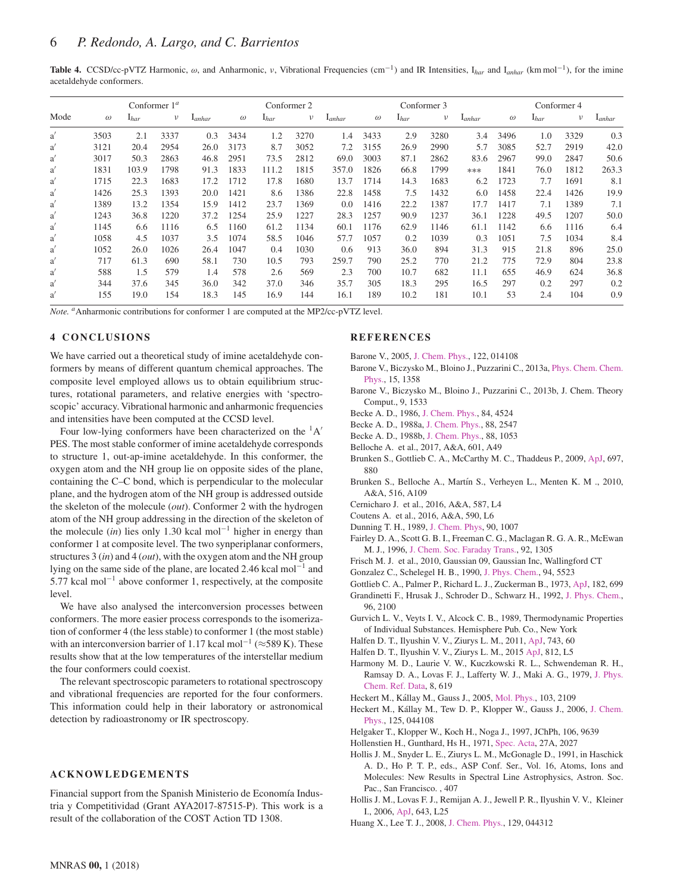<span id="page-5-28"></span>**Table 4.** CCSD/cc-pVTZ Harmonic,  $\omega$ , and Anharmonic,  $\nu$ , Vibrational Frequencies (cm<sup>-1</sup>) and IR Intensities, I<sub>har</sub> and I<sub>anhar</sub> (km mol<sup>-1</sup>), for the imine acetaldehyde conformers.

| Conformer $1^a$ |          |           |       |                      | Conformer 2 |           |            |                        | Conformer 3 |                    |            |                        | Conformer 4 |           |            |                        |
|-----------------|----------|-----------|-------|----------------------|-------------|-----------|------------|------------------------|-------------|--------------------|------------|------------------------|-------------|-----------|------------|------------------------|
| Mode            | $\omega$ | $1_{har}$ | $\nu$ | $\mathbf{I}_{anhar}$ | $\omega$    | $I_{har}$ | $\upsilon$ | $\mathbf{1}_{a n har}$ | $\omega$    | $\mathbf{I}_{har}$ | $\upsilon$ | $\mathbf{1}_{a n har}$ | $\omega$    | $I_{har}$ | $\upsilon$ | $\mathbf{1}_{a n har}$ |
| a'              | 3503     | 2.1       | 3337  | 0.3                  | 3434        | 1.2       | 3270       | 1.4                    | 3433        | 2.9                | 3280       | 3.4                    | 3496        | 1.0       | 3329       | 0.3                    |
| a'              | 3121     | 20.4      | 2954  | 26.0                 | 3173        | 8.7       | 3052       | 7.2                    | 3155        | 26.9               | 2990       | 5.7                    | 3085        | 52.7      | 2919       | 42.0                   |
| a'              | 3017     | 50.3      | 2863  | 46.8                 | 2951        | 73.5      | 2812       | 69.0                   | 3003        | 87.1               | 2862       | 83.6                   | 2967        | 99.0      | 2847       | 50.6                   |
| a'              | 1831     | 103.9     | 1798  | 91.3                 | 1833        | 111.2     | 1815       | 357.0                  | 1826        | 66.8               | 1799       | ***                    | 1841        | 76.0      | 1812       | 263.3                  |
| a'              | 1715     | 22.3      | 1683  | 17.2                 | 1712        | 17.8      | 1680       | 13.7                   | 1714        | 14.3               | 1683       | 6.2                    | 1723        | 7.7       | 1691       | 8.1                    |
| a'              | 1426     | 25.3      | 1393  | 20.0                 | 1421        | 8.6       | 1386       | 22.8                   | 1458        | 7.5                | 1432       | 6.0                    | 1458        | 22.4      | 1426       | 19.9                   |
| a'              | 1389     | 13.2      | 1354  | 15.9                 | 1412        | 23.7      | 1369       | 0.0                    | 1416        | 22.2               | 1387       | 17.7                   | 1417        | 7.1       | 1389       | 7.1                    |
| a'              | 1243     | 36.8      | 1220  | 37.2                 | 1254        | 25.9      | 1227       | 28.3                   | 1257        | 90.9               | 1237       | 36.1                   | 1228        | 49.5      | 1207       | 50.0                   |
| a'              | 1145     | 6.6       | 1116  | 6.5                  | 1160        | 61.2      | 1134       | 60.1                   | 1176        | 62.9               | 1146       | 61.1                   | 1142        | 6.6       | 1116       | 6.4                    |
| a'              | 1058     | 4.5       | 1037  | 3.5                  | 1074        | 58.5      | 1046       | 57.7                   | 1057        | 0.2                | 1039       | 0.3                    | 1051        | 7.5       | 1034       | 8.4                    |
| a'              | 1052     | 26.0      | 1026  | 26.4                 | 1047        | 0.4       | 1030       | 0.6                    | 913         | 36.0               | 894        | 31.3                   | 915         | 21.8      | 896        | 25.0                   |
| a'              | 717      | 61.3      | 690   | 58.1                 | 730         | 10.5      | 793        | 259.7                  | 790         | 25.2               | 770        | 21.2                   | 775         | 72.9      | 804        | 23.8                   |
| a'              | 588      | 1.5       | 579   | 1.4                  | 578         | 2.6       | 569        | 2.3                    | 700         | 10.7               | 682        | 11.1                   | 655         | 46.9      | 624        | 36.8                   |
| a'              | 344      | 37.6      | 345   | 36.0                 | 342         | 37.0      | 346        | 35.7                   | 305         | 18.3               | 295        | 16.5                   | 297         | 0.2       | 297        | 0.2                    |
| a'              | 155      | 19.0      | 154   | 18.3                 | 145         | 16.9      | 144        | 16.1                   | 189         | 10.2               | 181        | 10.1                   | 53          | 2.4       | 104        | 0.9                    |

*Note. <sup>a</sup>*Anharmonic contributions for conformer 1 are computed at the MP2/cc-pVTZ level.

## **4 CONCLUSIONS**

We have carried out a theoretical study of imine acetaldehyde conformers by means of different quantum chemical approaches. The composite level employed allows us to obtain equilibrium structures, rotational parameters, and relative energies with 'spectroscopic' accuracy. Vibrational harmonic and anharmonic frequencies and intensities have been computed at the CCSD level.

Four low-lying conformers have been characterized on the  ${}^{1}A'$ PES. The most stable conformer of imine acetaldehyde corresponds to structure 1, out-ap-imine acetaldehyde. In this conformer, the oxygen atom and the NH group lie on opposite sides of the plane, containing the C–C bond, which is perpendicular to the molecular plane, and the hydrogen atom of the NH group is addressed outside the skeleton of the molecule (*out*). Conformer 2 with the hydrogen atom of the NH group addressing in the direction of the skeleton of the molecule (*in*) lies only 1.30 kcal mol−<sup>1</sup> higher in energy than conformer 1 at composite level. The two synperiplanar conformers, structures 3 (*in*) and 4 (*out*), with the oxygen atom and the NH group lying on the same side of the plane, are located 2.46 kcal mol−<sup>1</sup> and 5.77 kcal mol−<sup>1</sup> above conformer 1, respectively, at the composite level.

We have also analysed the interconversion processes between conformers. The more easier process corresponds to the isomerization of conformer 4 (the less stable) to conformer 1 (the most stable) with an interconversion barrier of 1.17 kcal mol<sup>-1</sup> (≈589 K). These results show that at the low temperatures of the interstellar medium the four conformers could coexist.

The relevant spectroscopic parameters to rotational spectroscopy and vibrational frequencies are reported for the four conformers. This information could help in their laboratory or astronomical detection by radioastronomy or IR spectroscopy.

## **ACKNOWLEDGEMENTS**

Financial support from the Spanish Ministerio de Economía Industria y Competitividad (Grant AYA2017-87515-P). This work is a result of the collaboration of the COST Action TD 1308.

## **REFERENCES**

<span id="page-5-20"></span>Barone V., 2005, [J. Chem. Phys.,](http://dx.doi.org/10.1063/1.1824881) 122, 014108

- <span id="page-5-14"></span>Ba[rone V., Biczysko M., Bloino J., Puzzarini C., 2013a,](http://dx.doi.org/10.1039/C2CP43884D) Phys. Chem. Chem. Phys., 15, 1358
- <span id="page-5-22"></span>Barone V., Biczysko M., Bloino J., Puzzarini C., 2013b, J. Chem. Theory Comput., 9, 1533
- <span id="page-5-15"></span>Becke A. D., 1986, [J. Chem. Phys.,](http://dx.doi.org/10.1063/1.450025) 84, 4524
- <span id="page-5-16"></span>Becke A. D., 1988a, [J. Chem. Phys.,](http://dx.doi.org/10.1063/1.454033) 88, 2547
- <span id="page-5-17"></span>Becke A. D., 1988b, [J. Chem. Phys.,](http://dx.doi.org/10.1063/1.454274) 88, 1053
- <span id="page-5-8"></span>Belloche A. et al., 2017, A&A, 601, A49
- <span id="page-5-3"></span>Brunken S., Gottlieb C. A., McCarthy M. C., Thaddeus P., 2009, [ApJ,](http://dx.doi.org/10.1088/0004-637X/697/1/880) 697, 880
- <span id="page-5-4"></span>Brunken S., Belloche A., Martín S., Verheyen L., Menten K. M ., 2010, A&A, 516, A109
- <span id="page-5-7"></span>Cernicharo J. et al., 2016, A&A, 587, L4
- <span id="page-5-2"></span>Coutens A. et al., 2016, A&A, 590, L6
- <span id="page-5-18"></span>Dunning T. H., 1989, [J. Chem. Phys,](http://dx.doi.org/10.1063/1.456153) 90, 1007
- <span id="page-5-11"></span>Fairley D. A., Scott G. B. I., Freeman C. G., Maclagan R. G. A. R., McEwan M. J., 1996, [J. Chem. Soc. Faraday Trans.,](http://dx.doi.org/10.1039/FT9969201305) 92, 1305
- <span id="page-5-24"></span>Frisch M. J. et al., 2010, Gaussian 09, Gaussian Inc, Wallingford CT
- <span id="page-5-19"></span>Gonzalez C., Schelegel H. B., 1990, [J. Phys. Chem.,](http://dx.doi.org/10.1021/j100377a021) 94, 5523
- <span id="page-5-0"></span>Gottlieb C. A., Palmer P., Richard L. J., Zuckerman B., 1973, [ApJ,](http://dx.doi.org/10.1086/152178) 182, 699
- <span id="page-5-10"></span>Grandinetti F., Hrusak J., Schroder D., Schwarz H., 1992, [J. Phys. Chem.,](http://dx.doi.org/10.1021/j100184a016) 96, 2100
- <span id="page-5-25"></span>Gurvich L. V., Veyts I. V., Alcock C. B., 1989, Thermodynamic Properties of Individual Substances. Hemisphere Pub. Co., New York
- <span id="page-5-1"></span>Halfen D. T., Ilyushin V. V., Ziurys L. M., 2011, [ApJ,](http://dx.doi.org/10.1088/0004-637X/743/1/60) 743, 60
- <span id="page-5-6"></span>Halfen D. T., Ilyushin V. V., Ziurys L. M., 2015 [ApJ,](http://dx.doi.org/10.1088/2041-8205/812/1/L5) 812, L5
- <span id="page-5-27"></span>Harmony M. D., Laurie V. W., Kuczkowski R. L., Schwendeman R. H., [Ramsay D. A., Lovas F. J., Lafferty W. J., Maki A. G., 1979,](http://dx.doi.org/10.1063/1.555605) J. Phys. Chem. Ref. Data, 8, 619
- <span id="page-5-12"></span>Heckert M., Kállay M., Gauss J., 2005, [Mol. Phys.,](http://dx.doi.org/10.1080/00268970500083416) 103, 2109
- <span id="page-5-13"></span>Heckert M., Kállay M., Tew D. P., Klopper W., Gauss J., 2006, J. Chem. Phys., 125, 044108
- <span id="page-5-23"></span>Helgaker T., Klopper W., Koch H., Noga J., 1997, JChPh, 106, 9639
- <span id="page-5-26"></span>Hollenstien H., Gunthard, Hs H., 1971, [Spec. Acta,](http://dx.doi.org/10.1016/0584-8539(71)80102-2) 27A, 2027
- <span id="page-5-9"></span>Hollis J. M., Snyder L. E., Ziurys L. M., McGonagle D., 1991, in Haschick A. D., Ho P. T. P., eds., ASP Conf. Ser., Vol. 16, Atoms, Ions and Molecules: New Results in Spectral Line Astrophysics, Astron. Soc. Pac., San Francisco. , 407
- <span id="page-5-5"></span>Hollis J. M., Lovas F. J., Remijan A. J., Jewell P. R., Ilyushin V. V., Kleiner I., 2006, [ApJ,](http://dx.doi.org/10.1086/505110) 643, L25
- <span id="page-5-21"></span>Huang X., Lee T. J., 2008, [J. Chem. Phys.,](http://dx.doi.org/10.1063/1.2957488) 129, 044312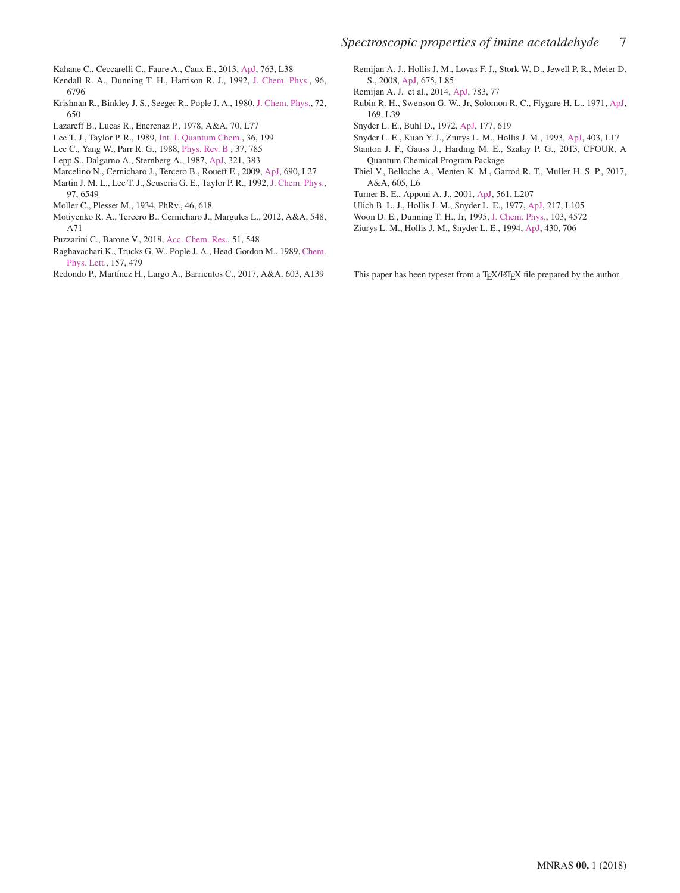- <span id="page-6-3"></span>Kahane C., Ceccarelli C., Faure A., Caux E., 2013, [ApJ,](http://dx.doi.org/10.1088/2041-8205/763/2/L38) 763, L38
- <span id="page-6-20"></span>Kendall R. A., Dunning T. H., Harrison R. J., 1992, [J. Chem. Phys.,](http://dx.doi.org/10.1063/1.462569) 96, 6796
- <span id="page-6-18"></span>Krishnan R., Binkley J. S., Seeger R., Pople J. A., 1980, [J. Chem. Phys.,](http://dx.doi.org/10.1063/1.438955) 72, 650
- <span id="page-6-1"></span>Lazareff B., Lucas R., Encrenaz P., 1978, A&A, 70, L77
- <span id="page-6-22"></span>Lee T. J., Taylor P. R., 1989, [Int. J. Quantum Chem.,](http://dx.doi.org/10.1002/qua.560360824) 36, 199
- <span id="page-6-17"></span>Lee C., Yang W., Parr R. G., 1988, [Phys. Rev. B](http://dx.doi.org/10.1103/PhysRevB.37.785) , 37, 785
- <span id="page-6-14"></span>Lepp S., Dalgarno A., Sternberg A., 1987, [ApJ,](http://dx.doi.org/10.1086/165636) 321, 383
- <span id="page-6-6"></span>Marcelino N., Cernicharo J., Tercero B., Roueff E., 2009, [ApJ,](http://dx.doi.org/10.1088/0004-637X/690/1/L27) 690, L27
- <span id="page-6-23"></span>Martin J. M. L., Lee T. J., Scuseria G. E., Taylor P. R., 1992, [J. Chem. Phys.,](http://dx.doi.org/10.1063/1.463684) 97, 6549
- <span id="page-6-19"></span>Moller C., Plesset M., 1934, PhRv., 46, 618
- <span id="page-6-2"></span>Motiyenko R. A., Tercero B., Cernicharo J., Margules L., 2012, A&A, 548, A71
- <span id="page-6-15"></span>Puzzarini C., Barone V., 2018, [Acc. Chem. Res.,](http://dx.doi.org/10.1021/acs.accounts.7b00603) 51, 548
- <span id="page-6-16"></span>Ra[ghavachari K., Trucks G. W., Pople J. A., Head-Gordon M., 1989,](http://dx.doi.org/10.1016/S0009-2614(89)87395-6) Chem. Phys. Lett., 157, 479
- <span id="page-6-9"></span>Redondo P., Martínez H., Largo A., Barrientos C., 2017, A&A, 603, A139

<span id="page-6-7"></span>Remijan A. J., Hollis J. M., Lovas F. J., Stork W. D., Jewell P. R., Meier D. S., 2008, [ApJ,](http://dx.doi.org/10.1086/533529) 675, L85

<span id="page-6-8"></span>Remijan A. J. et al., 2014, [ApJ,](http://dx.doi.org/10.1088/0004-637X/783/2/77) 783, 77

- <span id="page-6-0"></span>Rubin R. H., Swenson G. W., Jr, Solomon R. C., Flygare H. L., 1971, [ApJ,](http://dx.doi.org/10.1086/180810) 169, L39
- <span id="page-6-5"></span>Snyder L. E., Buhl D., 1972, [ApJ,](http://dx.doi.org/10.1086/151739) 177, 619
- <span id="page-6-11"></span>Snyder L. E., Kuan Y. J., Ziurys L. M., Hollis J. M., 1993, [ApJ,](http://dx.doi.org/10.1086/186711) 403, L17
- <span id="page-6-24"></span>Stanton J. F., Gauss J., Harding M. E., Szalay P. G., 2013, CFOUR, A Quantum Chemical Program Package
- <span id="page-6-4"></span>Thiel V., Belloche A., Menten K. M., Garrod R. T., Muller H. S. P., 2017, A&A, 605, L6
- <span id="page-6-13"></span>Turner B. E., Apponi A. J., 2001, [ApJ,](http://dx.doi.org/10.1086/324762) 561, L207
- <span id="page-6-10"></span>Ulich B. L. J., Hollis J. M., Snyder L. E., 1977, [ApJ,](http://dx.doi.org/10.1086/182549) 217, L105
- <span id="page-6-21"></span>Woon D. E., Dunning T. H., Jr, 1995, [J. Chem. Phys.,](http://dx.doi.org/10.1063/1.470645) 103, 4572
- <span id="page-6-12"></span>Ziurys L. M., Hollis J. M., Snyder L. E., 1994, [ApJ,](http://dx.doi.org/10.1086/174442) 430, 706

This paper has been typeset from a TEX/LATEX file prepared by the author.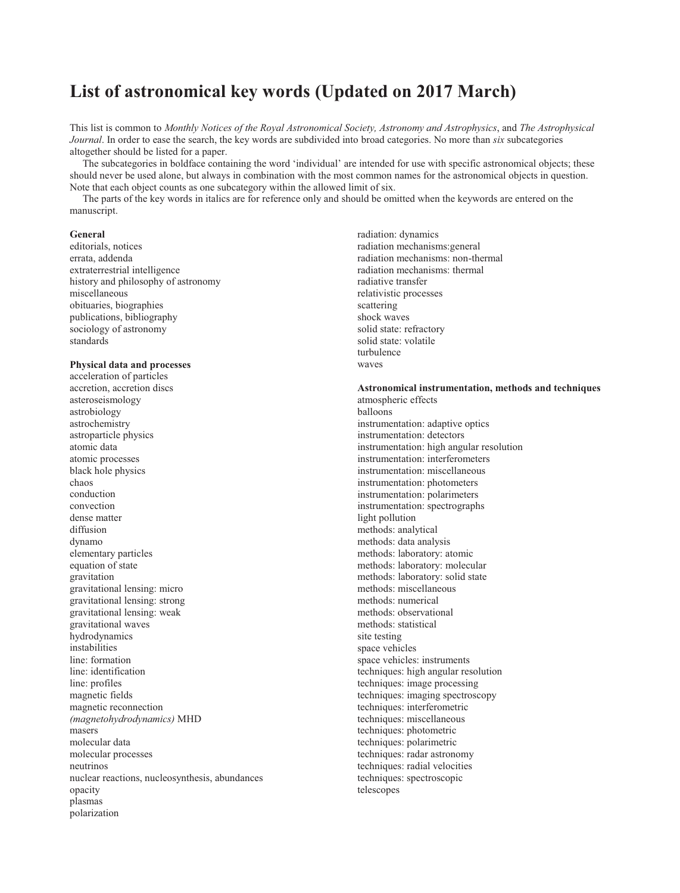## **List of astronomical key words (Updated on 2017 March)**

This list is common to *Monthly Notices of the Royal Astronomical Society, Astronomy and Astrophysics*, and *The Astrophysical Journal*. In order to ease the search, the key words are subdivided into broad categories. No more than *six* subcategories altogether should be listed for a paper.

The subcategories in boldface containing the word 'individual' are intended for use with specific astronomical objects; these should never be used alone, but always in combination with the most common names for the astronomical objects in question. Note that each object counts as one subcategory within the allowed limit of six.

The parts of the key words in italics are for reference only and should be omitted when the keywords are entered on the manuscript.

#### **General**

editorials, notices errata, addenda extraterrestrial intelligence history and philosophy of astronomy miscellaneous obituaries, biographies publications, bibliography sociology of astronomy standards

#### **Physical data and processes**

acceleration of particles accretion, accretion discs asteroseismology astrobiology astrochemistry astroparticle physics atomic data atomic processes black hole physics chaos conduction convection dense matter diffusion dynamo elementary particles equation of state gravitation gravitational lensing: micro gravitational lensing: strong gravitational lensing: weak gravitational waves hydrodynamics instabilities line: formation line: identification line: profiles magnetic fields magnetic reconnection *(magnetohydrodynamics)* MHD masers molecular data molecular processes neutrinos nuclear reactions, nucleosynthesis, abundances opacity plasmas polarization

radiation: dynamics radiation mechanisms:general radiation mechanisms: non-thermal radiation mechanisms: thermal radiative transfer relativistic processes scattering shock waves solid state: refractory solid state: volatile turbulence waves

**Astronomical instrumentation, methods and techniques** atmospheric effects balloons instrumentation: adaptive optics instrumentation: detectors instrumentation: high angular resolution instrumentation: interferometers instrumentation: miscellaneous instrumentation: photometers instrumentation: polarimeters instrumentation: spectrographs light pollution methods: analytical methods: data analysis methods: laboratory: atomic methods: laboratory: molecular methods: laboratory: solid state methods: miscellaneous methods: numerical methods: observational methods: statistical site testing space vehicles space vehicles: instruments techniques: high angular resolution techniques: image processing techniques: imaging spectroscopy techniques: interferometric techniques: miscellaneous techniques: photometric techniques: polarimetric techniques: radar astronomy techniques: radial velocities techniques: spectroscopic telescopes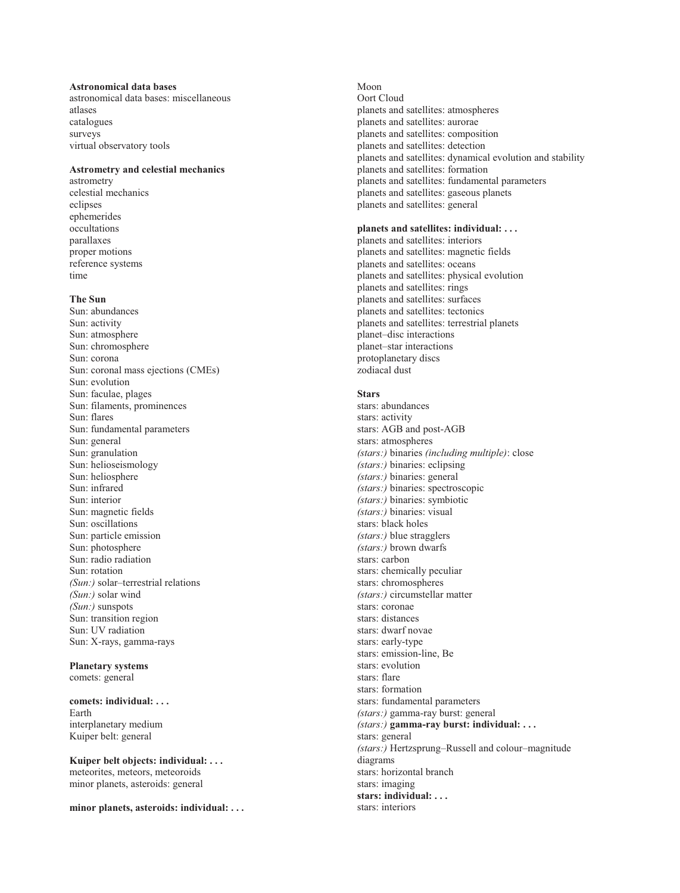## **Astronomical data bases**

astronomical data bases: miscellaneous atlases catalogues surveys virtual observatory tools

### **Astrometry and celestial mechanics**

astrometry celestial mechanics eclipses ephemerides occultations parallaxes proper motions reference systems time

#### **The Sun**

Sun: abundances Sun: activity Sun: atmosphere Sun: chromosphere Sun: corona Sun: coronal mass ejections (CMEs) Sun: evolution Sun: faculae, plages Sun: filaments, prominences Sun: flares Sun: fundamental parameters Sun: general Sun: granulation Sun: helioseismology Sun: heliosphere Sun: infrared Sun: interior Sun: magnetic fields Sun: oscillations Sun: particle emission Sun: photosphere Sun: radio radiation Sun: rotation *(Sun:)* solar–terrestrial relations *(Sun:)* solar wind *(Sun:)* sunspots Sun: transition region Sun: UV radiation Sun: X-rays, gamma-rays

**Planetary systems** comets: general

**comets: individual: . . .** Earth interplanetary medium Kuiper belt: general

**Kuiper belt objects: individual: . . .** meteorites, meteors, meteoroids minor planets, asteroids: general

**minor planets, asteroids: individual: . . .**

#### Moon

Oort Cloud planets and satellites: atmospheres planets and satellites: aurorae planets and satellites: composition planets and satellites: detection planets and satellites: dynamical evolution and stability planets and satellites: formation planets and satellites: fundamental parameters planets and satellites: gaseous planets planets and satellites: general

#### **planets and satellites: individual: . . .**

planets and satellites: interiors planets and satellites: magnetic fields planets and satellites: oceans planets and satellites: physical evolution planets and satellites: rings planets and satellites: surfaces planets and satellites: tectonics planets and satellites: terrestrial planets planet–disc interactions planet–star interactions protoplanetary discs zodiacal dust

## **Stars**

stars: abundances stars: activity stars: AGB and post-AGB stars: atmospheres *(stars:)* binaries *(including multiple)*: close *(stars:)* binaries: eclipsing *(stars:)* binaries: general *(stars:)* binaries: spectroscopic *(stars:)* binaries: symbiotic *(stars:)* binaries: visual stars: black holes *(stars:)* blue stragglers *(stars:)* brown dwarfs stars: carbon stars: chemically peculiar stars: chromospheres *(stars:)* circumstellar matter stars: coronae stars: distances stars: dwarf novae stars: early-type stars: emission-line, Be stars: evolution stars: flare stars: formation stars: fundamental parameters *(stars:)* gamma-ray burst: general *(stars:)* **gamma-ray burst: individual: . . .** stars: general *(stars:)* Hertzsprung–Russell and colour–magnitude diagrams stars: horizontal branch stars: imaging **stars: individual: . . .** stars: interiors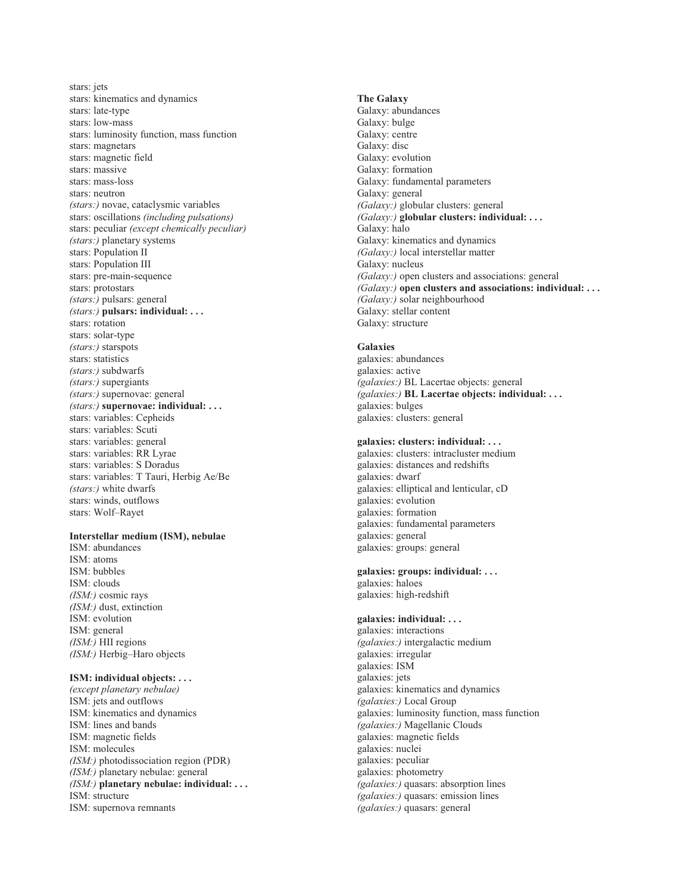stars: jets stars: kinematics and dynamics stars: late-type stars: low-mass stars: luminosity function, mass function stars: magnetars stars: magnetic field stars: massive stars: mass-loss stars: neutron *(stars:)* novae, cataclysmic variables stars: oscillations *(including pulsations)* stars: peculiar *(except chemically peculiar) (stars:)* planetary systems stars: Population II stars: Population III stars: pre-main-sequence stars: protostars *(stars:)* pulsars: general *(stars:)* **pulsars: individual: . . .** stars: rotation stars: solar-type *(stars:)* starspots stars: statistics *(stars:)* subdwarfs *(stars:)* supergiants *(stars:)* supernovae: general *(stars:)* **supernovae: individual: . . .** stars: variables: Cepheids stars: variables: Scuti stars: variables: general stars: variables: RR Lyrae stars: variables: S Doradus stars: variables: T Tauri, Herbig Ae/Be *(stars:)* white dwarfs stars: winds, outflows stars: Wolf–Rayet

#### **Interstellar medium (ISM), nebulae**

ISM: abundances ISM: atoms ISM: bubbles ISM: clouds *(ISM:)* cosmic rays *(ISM:)* dust, extinction ISM: evolution ISM: general *(ISM:)* HII regions *(ISM:)* Herbig–Haro objects

#### **ISM: individual objects: . . .**

*(except planetary nebulae)* ISM: jets and outflows ISM: kinematics and dynamics ISM: lines and bands ISM: magnetic fields ISM: molecules *(ISM:)* photodissociation region (PDR) *(ISM:)* planetary nebulae: general *(ISM:)* **planetary nebulae: individual: . . .** ISM: structure ISM: supernova remnants

#### **The Galaxy**

Galaxy: abundances Galaxy: bulge Galaxy: centre Galaxy: disc Galaxy: evolution Galaxy: formation Galaxy: fundamental parameters Galaxy: general *(Galaxy:)* globular clusters: general *(Galaxy:)* **globular clusters: individual: . . .** Galaxy: halo Galaxy: kinematics and dynamics *(Galaxy:)* local interstellar matter Galaxy: nucleus *(Galaxy:)* open clusters and associations: general *(Galaxy:)* **open clusters and associations: individual: . . .** *(Galaxy:)* solar neighbourhood Galaxy: stellar content Galaxy: structure

#### **Galaxies**

galaxies: abundances galaxies: active *(galaxies:)* BL Lacertae objects: general *(galaxies:)* **BL Lacertae objects: individual: . . .** galaxies: bulges galaxies: clusters: general

## **galaxies: clusters: individual: . . .**

galaxies: clusters: intracluster medium galaxies: distances and redshifts galaxies: dwarf galaxies: elliptical and lenticular, cD galaxies: evolution galaxies: formation galaxies: fundamental parameters galaxies: general galaxies: groups: general

## **galaxies: groups: individual: . . .**

galaxies: haloes galaxies: high-redshift

## **galaxies: individual: . . .**

galaxies: interactions *(galaxies:)* intergalactic medium galaxies: irregular galaxies: ISM galaxies: jets galaxies: kinematics and dynamics *(galaxies:)* Local Group galaxies: luminosity function, mass function *(galaxies:)* Magellanic Clouds galaxies: magnetic fields galaxies: nuclei galaxies: peculiar galaxies: photometry *(galaxies:)* quasars: absorption lines *(galaxies:)* quasars: emission lines *(galaxies:)* quasars: general